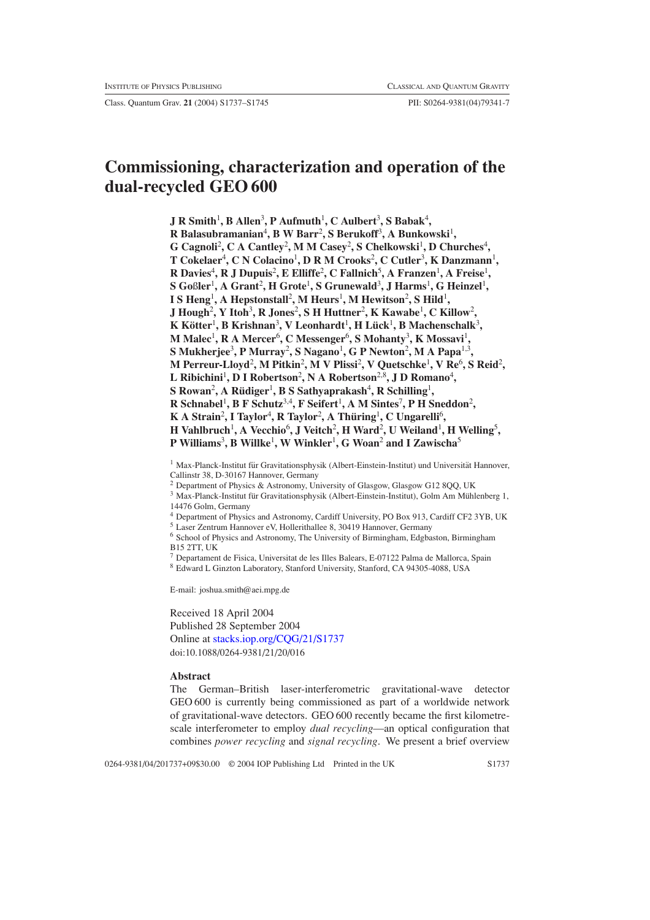Class. Quantum Grav. **21** (2004) S1737–S1745 PII: S0264-9381(04)79341-7

# **Commissioning, characterization and operation of the dual-recycled GEO 600**

**J R** Smith<sup>1</sup>, **B** Allen<sup>3</sup>, **P** Aufmuth<sup>1</sup>, C Aulbert<sup>3</sup>, S Babak<sup>4</sup>, **R Balasubramanian**<sup>4</sup> **, B W Barr**<sup>2</sup> **, S Berukoff**<sup>3</sup> **, A Bunkowski**<sup>1</sup> **,** G Cagnoli<sup>2</sup>, C A Cantley<sup>2</sup>, M M Casey<sup>2</sup>, S Chelkowski<sup>1</sup>, D Churches<sup>4</sup>,  $\bf{T}$  Cokelaer<sup>4</sup>, C N Colacino<sup>1</sup>, D R M Crooks<sup>2</sup>, C Cutler<sup>3</sup>, K Danzmann<sup>1</sup>,  $R$  Davies<sup>4</sup>, R J Dupuis<sup>2</sup>, E Elliffe<sup>2</sup>, C Fallnich<sup>5</sup>, A Franzen<sup>1</sup>, A Freise<sup>1</sup>,  ${\bf S}$  Goßler<sup>1</sup>, A Grant<sup>2</sup>, H Grote<sup>1</sup>, S Grunewald<sup>3</sup>, J Harms<sup>1</sup>, G Heinzel<sup>1</sup>, **I** S Heng<sup>1</sup>, A Hepstonstall<sup>2</sup>, M Heurs<sup>1</sup>, M Hewitson<sup>2</sup>, S Hild<sup>1</sup>, **J** Hough<sup>2</sup>, Y Itoh<sup>3</sup>, R Jones<sup>2</sup>, S H Huttner<sup>2</sup>, K Kawabe<sup>1</sup>, C Killow<sup>2</sup>, **K Kotter ¨** <sup>1</sup> **, B Krishnan**<sup>3</sup> **, V Leonhardt**<sup>1</sup> **,HLuck ¨** <sup>1</sup> **, B Machenschalk**<sup>3</sup> **, M** Malec<sup>1</sup>, **R** A Mercer<sup>6</sup>, **C** Messenger<sup>6</sup>, **S** Mohanty<sup>3</sup>, **K** Mossavi<sup>1</sup>,  $\mathbf S$  Mukherjee<sup>3</sup>, P Murray<sup>2</sup>, S Nagano<sup>1</sup>, G P Newton<sup>2</sup>, M A Papa<sup>1,3</sup>, **M Perreur-Lloyd**<sup>2</sup> **, M Pitkin**<sup>2</sup> **, M V Plissi**<sup>2</sup> **, V Quetschke**<sup>1</sup> **, V Re**<sup>6</sup> **, S Reid**<sup>2</sup> **,** L Ribichini<sup>1</sup>, D I Robertson<sup>2</sup>, N A Robertson<sup>2,8</sup>, J D Romano<sup>4</sup>,  ${\bf S}$  Rowan $^2$ , A Rüdiger $^1$ , B  ${\bf S}$  Sathyaprakash $^4$ , R Schilling $^1$ , **R Schnabel**<sup>1</sup> **, B F Schutz**3,4**, F Seifert**<sup>1</sup> **, A M Sintes**<sup>7</sup> **, P H Sneddon**<sup>2</sup> **, K** A Strain<sup>2</sup>, I Taylor<sup>4</sup>, R Taylor<sup>2</sup>, A Thüring<sup>1</sup>, C Ungarelli<sup>6</sup>, **H** Vahlbruch<sup>1</sup>, A Vecchio<sup>6</sup>, J Veitch<sup>2</sup>, **H** Ward<sup>2</sup>, U Weiland<sup>1</sup>, **H** Welling<sup>5</sup>, **P Williams**<sup>3</sup> **, B Willke**<sup>1</sup> **, W Winkler**<sup>1</sup> **, G Woan**<sup>2</sup> **and I Zawischa**<sup>5</sup>

 $1$  Max-Planck-Institut für Gravitationsphysik (Albert-Einstein-Institut) und Universität Hannover, Callinstr 38, D-30167 Hannover, Germany

<sup>2</sup> Department of Physics & Astronomy, University of Glasgow, Glasgow G12 8QQ, UK

 $3$  Max-Planck-Institut für Gravitationsphysik (Albert-Einstein-Institut), Golm Am Mühlenberg 1, 14476 Golm, Germany

<sup>4</sup> Department of Physics and Astronomy, Cardiff University, PO Box 913, Cardiff CF2 3YB, UK

<sup>5</sup> Laser Zentrum Hannover eV, Hollerithallee 8, 30419 Hannover, Germany <sup>6</sup> School of Physics and Astronomy, The University of Birmingham, Edgbaston, Birmingham

B15 2TT, UK

<sup>7</sup> Departament de Fisica, Universitat de les Illes Balears, E-07122 Palma de Mallorca, Spain

<sup>8</sup> Edward L Ginzton Laboratory, Stanford University, Stanford, CA 94305-4088, USA

E-mail: joshua.smith@aei.mpg.de

Received 18 April 2004 Published 28 September 2004 Online at [stacks.iop.org/CQG/21/S1737](http://stacks.iop.org/cq/21/S1737) doi:10.1088/0264-9381/21/20/016

## **Abstract**

The German–British laser-interferometric gravitational-wave detector GEO 600 is currently being commissioned as part of a worldwide network of gravitational-wave detectors. GEO 600 recently became the first kilometrescale interferometer to employ *dual recycling*—an optical configuration that combines *power recycling* and *signal recycling*. We present a brief overview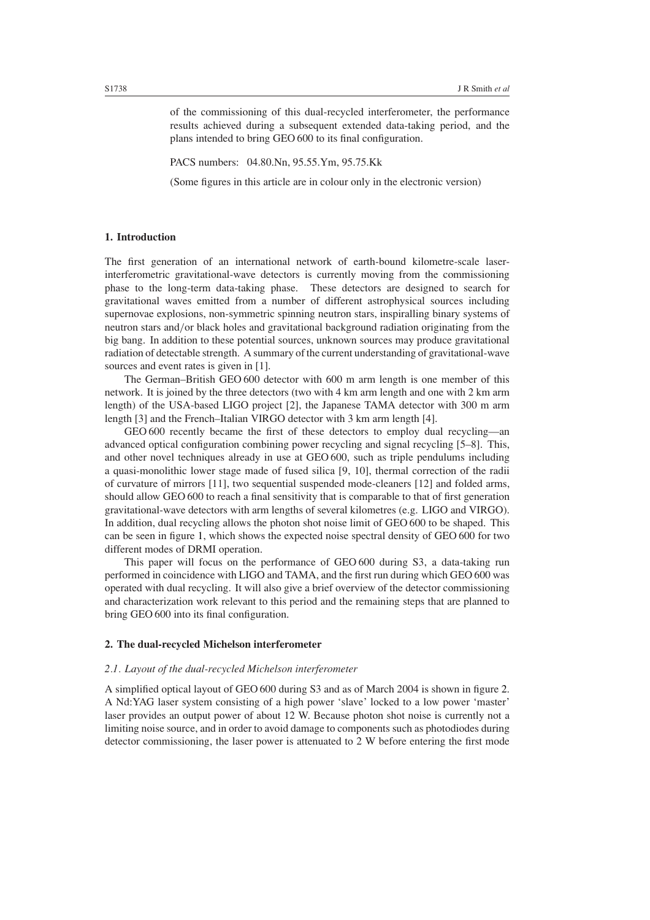of the commissioning of this dual-recycled interferometer, the performance results achieved during a subsequent extended data-taking period, and the plans intended to bring GEO 600 to its final configuration.

PACS numbers: 04.80.Nn, 95.55.Ym, 95.75.Kk

(Some figures in this article are in colour only in the electronic version)

# **1. Introduction**

The first generation of an international network of earth-bound kilometre-scale laserinterferometric gravitational-wave detectors is currently moving from the commissioning phase to the long-term data-taking phase. These detectors are designed to search for gravitational waves emitted from a number of different astrophysical sources including supernovae explosions, non-symmetric spinning neutron stars, inspiralling binary systems of neutron stars and*/*or black holes and gravitational background radiation originating from the big bang. In addition to these potential sources, unknown sources may produce gravitational radiation of detectable strength. A summary of the current understanding of gravitational-wave sources and event rates is given in [1].

The German–British GEO 600 detector with 600 m arm length is one member of this network. It is joined by the three detectors (two with 4 km arm length and one with 2 km arm length) of the USA-based LIGO project [2], the Japanese TAMA detector with 300 m arm length [3] and the French–Italian VIRGO detector with 3 km arm length [4].

GEO 600 recently became the first of these detectors to employ dual recycling—an advanced optical configuration combining power recycling and signal recycling [5–8]. This, and other novel techniques already in use at GEO 600, such as triple pendulums including a quasi-monolithic lower stage made of fused silica [9, 10], thermal correction of the radii of curvature of mirrors [11], two sequential suspended mode-cleaners [12] and folded arms, should allow GEO 600 to reach a final sensitivity that is comparable to that of first generation gravitational-wave detectors with arm lengths of several kilometres (e.g. LIGO and VIRGO). In addition, dual recycling allows the photon shot noise limit of GEO 600 to be shaped. This can be seen in figure [1,](#page-2-0) which shows the expected noise spectral density of GEO 600 for two different modes of DRMI operation.

This paper will focus on the performance of GEO 600 during S3, a data-taking run performed in coincidence with LIGO and TAMA, and the first run during which GEO 600 was operated with dual recycling. It will also give a brief overview of the detector commissioning and characterization work relevant to this period and the remaining steps that are planned to bring GEO 600 into its final configuration.

# <span id="page-1-0"></span>**2. The dual-recycled Michelson interferometer**

## *2.1. Layout of the dual-recycled Michelson interferometer*

A simplified optical layout of GEO 600 during S3 and as of March 2004 is shown in figure [2.](#page-2-1) A Nd:YAG laser system consisting of a high power 'slave' locked to a low power 'master' laser provides an output power of about 12 W. Because photon shot noise is currently not a limiting noise source, and in order to avoid damage to components such as photodiodes during detector commissioning, the laser power is attenuated to 2 W before entering the first mode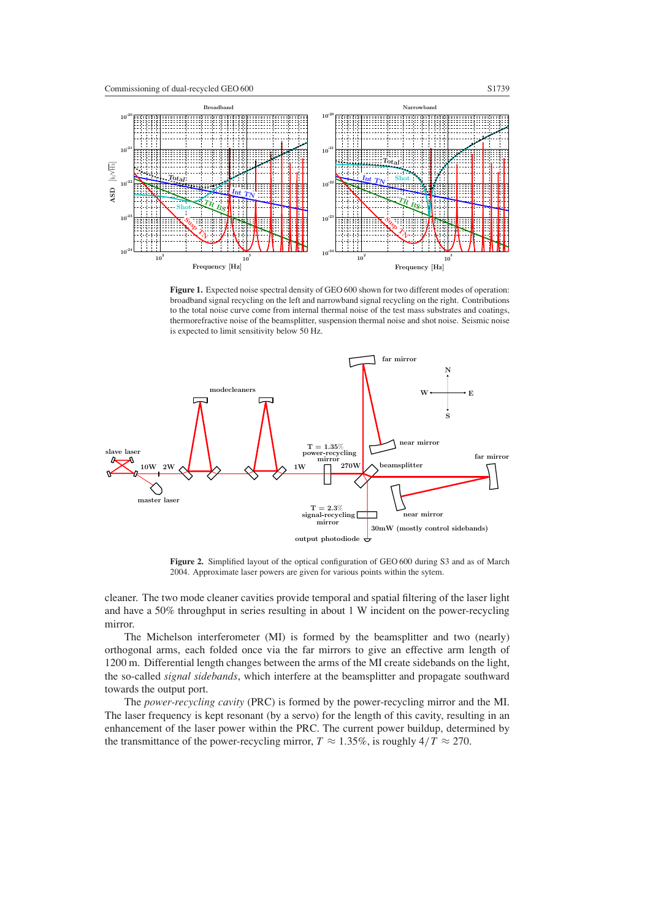

<span id="page-2-0"></span>**Figure 1.** Expected noise spectral density of GEO 600 shown for two different modes of operation: broadband signal recycling on the left and narrowband signal recycling on the right. Contributions to the total noise curve come from internal thermal noise of the test mass substrates and coatings, thermorefractive noise of the beamsplitter, suspension thermal noise and shot noise. Seismic noise is expected to limit sensitivity below 50 Hz.



**Figure 2.** Simplified layout of the optical configuration of GEO 600 during S3 and as of March 2004. Approximate laser powers are given for various points within the sytem.

<span id="page-2-1"></span>cleaner. The two mode cleaner cavities provide temporal and spatial filtering of the laser light and have a 50% throughput in series resulting in about 1 W incident on the power-recycling mirror.

The Michelson interferometer (MI) is formed by the beamsplitter and two (nearly) orthogonal arms, each folded once via the far mirrors to give an effective arm length of 1200 m. Differential length changes between the arms of the MI create sidebands on the light, the so-called *signal sidebands*, which interfere at the beamsplitter and propagate southward towards the output port.

The *power-recycling cavity* (PRC) is formed by the power-recycling mirror and the MI. The laser frequency is kept resonant (by a servo) for the length of this cavity, resulting in an enhancement of the laser power within the PRC. The current power buildup, determined by the transmittance of the power-recycling mirror,  $T \approx 1.35\%$ , is roughly  $4/T \approx 270$ .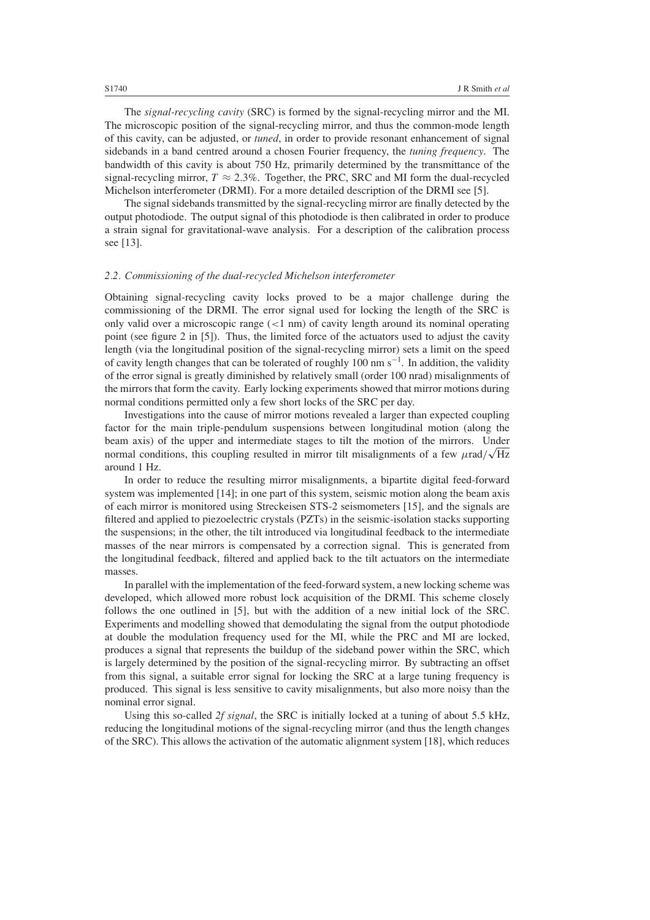The *signal-recycling cavity* (SRC) is formed by the signal-recycling mirror and the MI. The microscopic position of the signal-recycling mirror, and thus the common-mode length of this cavity, can be adjusted, or *tuned*, in order to provide resonant enhancement of signal sidebands in a band centred around a chosen Fourier frequency, the *tuning frequency*. The bandwidth of this cavity is about 750 Hz, primarily determined by the transmittance of the signal-recycling mirror,  $T \approx 2.3\%$ . Together, the PRC, SRC and MI form the dual-recycled Michelson interferometer (DRMI). For a more detailed description of the DRMI see [5].

The signal sidebands transmitted by the signal-recycling mirror are finally detected by the output photodiode. The output signal of this photodiode is then calibrated in order to produce a strain signal for gravitational-wave analysis. For a description of the calibration process see [13].

#### *2.2. Commissioning of the dual-recycled Michelson interferometer*

Obtaining signal-recycling cavity locks proved to be a major challenge during the commissioning of the DRMI. The error signal used for locking the length of the SRC is only valid over a microscopic range (*<*1 nm) of cavity length around its nominal operating point (see figure 2 in [5]). Thus, the limited force of the actuators used to adjust the cavity length (via the longitudinal position of the signal-recycling mirror) sets a limit on the speed of cavity length changes that can be tolerated of roughly 100 nm s<sup>-1</sup>. In addition, the validity of the error signal is greatly diminished by relatively small (order 100 nrad) misalignments of the mirrors that form the cavity. Early locking experiments showed that mirror motions during normal conditions permitted only a few short locks of the SRC per day.

Investigations into the cause of mirror motions revealed a larger than expected coupling factor for the main triple-pendulum suspensions between longitudinal motion (along the beam axis) of the upper and intermediate stages to tilt the motion of the mirrors. Under normal conditions, this coupling resulted in mirror tilt misalignments of a few  $\mu$ rad $\sqrt{Hz}$ around 1 Hz.

In order to reduce the resulting mirror misalignments, a bipartite digital feed-forward system was implemented [14]; in one part of this system, seismic motion along the beam axis of each mirror is monitored using Streckeisen STS-2 seismometers [15], and the signals are filtered and applied to piezoelectric crystals (PZTs) in the seismic-isolation stacks supporting the suspensions; in the other, the tilt introduced via longitudinal feedback to the intermediate masses of the near mirrors is compensated by a correction signal. This is generated from the longitudinal feedback, filtered and applied back to the tilt actuators on the intermediate masses.

In parallel with the implementation of the feed-forward system, a new locking scheme was developed, which allowed more robust lock acquisition of the DRMI. This scheme closely follows the one outlined in [5], but with the addition of a new initial lock of the SRC. Experiments and modelling showed that demodulating the signal from the output photodiode at double the modulation frequency used for the MI, while the PRC and MI are locked, produces a signal that represents the buildup of the sideband power within the SRC, which is largely determined by the position of the signal-recycling mirror. By subtracting an offset from this signal, a suitable error signal for locking the SRC at a large tuning frequency is produced. This signal is less sensitive to cavity misalignments, but also more noisy than the nominal error signal.

Using this so-called *2f signal*, the SRC is initially locked at a tuning of about 5.5 kHz, reducing the longitudinal motions of the signal-recycling mirror (and thus the length changes of the SRC). This allows the activation of the automatic alignment system [18], which reduces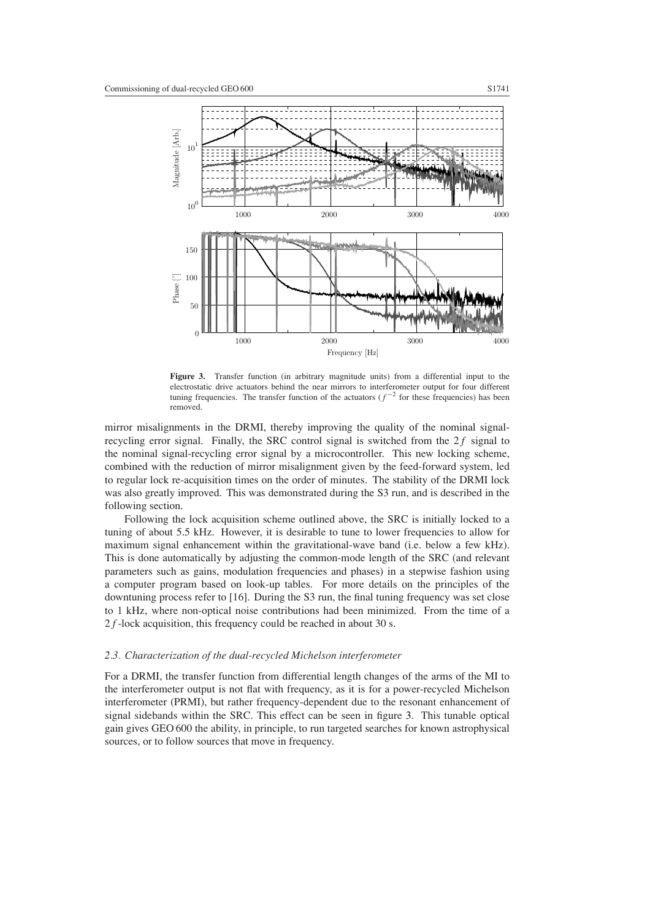

<span id="page-4-0"></span>**Figure 3.** Transfer function (in arbitrary magnitude units) from a differential input to the electrostatic drive actuators behind the near mirrors to interferometer output for four different tuning frequencies. The transfer function of the actuators  $(f^{-2}$  for these frequencies) has been removed.

mirror misalignments in the DRMI, thereby improving the quality of the nominal signalrecycling error signal. Finally, the SRC control signal is switched from the  $2f$  signal to the nominal signal-recycling error signal by a microcontroller. This new locking scheme, combined with the reduction of mirror misalignment given by the feed-forward system, led to regular lock re-acquisition times on the order of minutes. The stability of the DRMI lock was also greatly improved. This was demonstrated during the S3 run, and is described in the following section.

Following the lock acquisition scheme outlined above, the SRC is initially locked to a tuning of about 5.5 kHz. However, it is desirable to tune to lower frequencies to allow for maximum signal enhancement within the gravitational-wave band (i.e. below a few kHz). This is done automatically by adjusting the common-mode length of the SRC (and relevant parameters such as gains, modulation frequencies and phases) in a stepwise fashion using a computer program based on look-up tables. For more details on the principles of the downtuning process refer to [16]. During the S3 run, the final tuning frequency was set close to 1 kHz, where non-optical noise contributions had been minimized. From the time of a 2*f* -lock acquisition, this frequency could be reached in about 30 s.

## *2.3. Characterization of the dual-recycled Michelson interferometer*

For a DRMI, the transfer function from differential length changes of the arms of the MI to the interferometer output is not flat with frequency, as it is for a power-recycled Michelson interferometer (PRMI), but rather frequency-dependent due to the resonant enhancement of signal sidebands within the SRC. This effect can be seen in figure [3.](#page-4-0) This tunable optical gain gives GEO 600 the ability, in principle, to run targeted searches for known astrophysical sources, or to follow sources that move in frequency.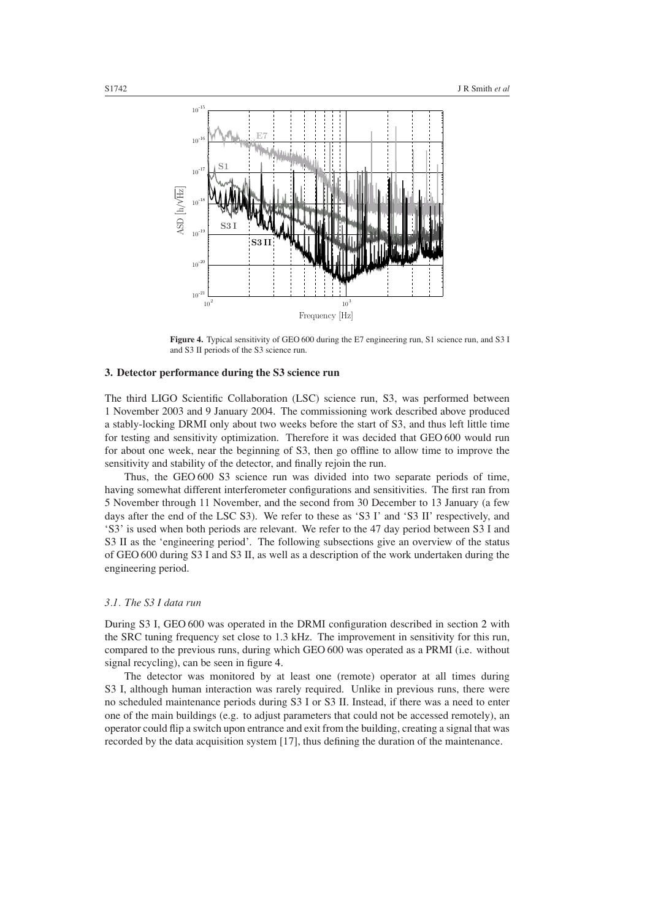

**Figure 4.** Typical sensitivity of GEO 600 during the E7 engineering run, S1 science run, and S3 I and S3 II periods of the S3 science run.

#### <span id="page-5-0"></span>**3. Detector performance during the S3 science run**

The third LIGO Scientific Collaboration (LSC) science run, S3, was performed between 1 November 2003 and 9 January 2004. The commissioning work described above produced a stably-locking DRMI only about two weeks before the start of S3, and thus left little time for testing and sensitivity optimization. Therefore it was decided that GEO 600 would run for about one week, near the beginning of S3, then go offline to allow time to improve the sensitivity and stability of the detector, and finally rejoin the run.

Thus, the GEO 600 S3 science run was divided into two separate periods of time, having somewhat different interferometer configurations and sensitivities. The first ran from 5 November through 11 November, and the second from 30 December to 13 January (a few days after the end of the LSC S3). We refer to these as 'S3 I' and 'S3 II' respectively, and 'S3' is used when both periods are relevant. We refer to the 47 day period between S3 I and S3 II as the 'engineering period'. The following subsections give an overview of the status of GEO 600 during S3 I and S3 II, as well as a description of the work undertaken during the engineering period.

# *3.1. The S3 I data run*

During S3 I, GEO 600 was operated in the DRMI configuration described in section [2](#page-1-0) with the SRC tuning frequency set close to 1.3 kHz. The improvement in sensitivity for this run, compared to the previous runs, during which GEO 600 was operated as a PRMI (i.e. without signal recycling), can be seen in figure [4.](#page-5-0)

The detector was monitored by at least one (remote) operator at all times during S3 I, although human interaction was rarely required. Unlike in previous runs, there were no scheduled maintenance periods during S3 I or S3 II. Instead, if there was a need to enter one of the main buildings (e.g. to adjust parameters that could not be accessed remotely), an operator could flip a switch upon entrance and exit from the building, creating a signal that was recorded by the data acquisition system [17], thus defining the duration of the maintenance.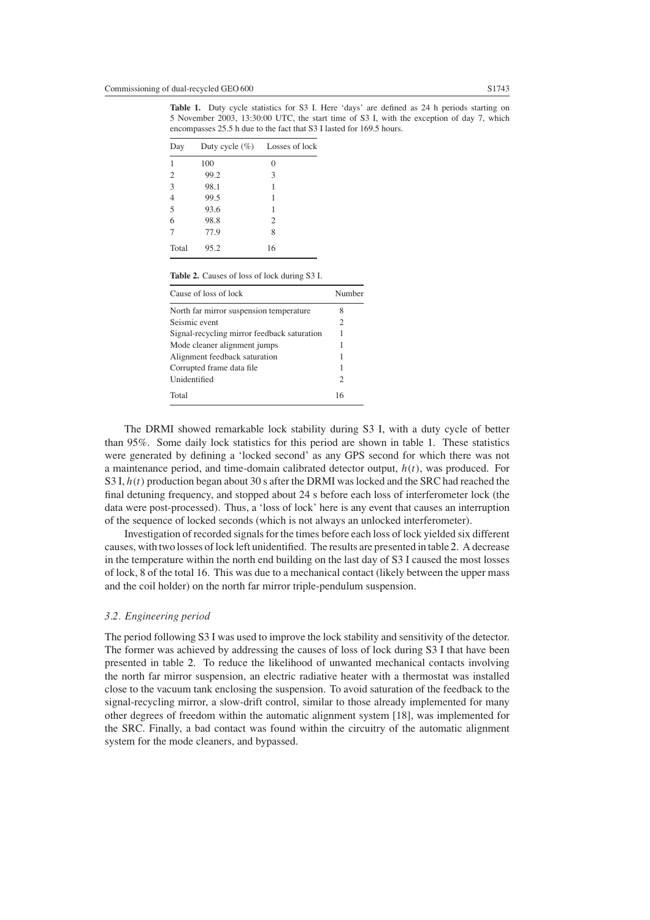<span id="page-6-0"></span>**Table 1.** Duty cycle statistics for S3 I. Here 'days' are defined as 24 h periods starting on 5 November 2003, 13:30:00 UTC, the start time of S3 I, with the exception of day 7, which encompasses 25.5 h due to the fact that S3 I lasted for 169.5 hours.

| Day            | Duty cycle $(\% )$ | Losses of lock |  |
|----------------|--------------------|----------------|--|
| 1              | 100                | 0              |  |
| $\overline{2}$ | 99.2               | 3              |  |
| $\overline{3}$ | 98.1               | 1              |  |
| $\overline{4}$ | 99.5               | 1              |  |
| $\overline{5}$ | 93.6               | 1              |  |
| $\overline{6}$ | 98.8               | $\overline{c}$ |  |
| 7              | 77.9               | 8              |  |
| Total          | 95.2               | 16             |  |

**Table 2.** Causes of loss of lock during S3 I.

<span id="page-6-1"></span>

| Cause of loss of lock                       | Number                      |
|---------------------------------------------|-----------------------------|
| North far mirror suspension temperature     | 8                           |
| Seismic event                               | 2                           |
| Signal-recycling mirror feedback saturation | 1                           |
| Mode cleaner alignment jumps                | 1                           |
| Alignment feedback saturation               |                             |
| Corrupted frame data file                   | 1                           |
| Unidentified                                | $\mathcal{D}_{\mathcal{L}}$ |
| Total                                       | 16                          |

The DRMI showed remarkable lock stability during S3 I, with a duty cycle of better than 95%. Some daily lock statistics for this period are shown in table [1.](#page-6-0) These statistics were generated by defining a 'locked second' as any GPS second for which there was not a maintenance period, and time-domain calibrated detector output, *h(t)*, was produced. For S3 I, *h(t)* production began about 30 s after the DRMI was locked and the SRC had reached the final detuning frequency, and stopped about 24 s before each loss of interferometer lock (the data were post-processed). Thus, a 'loss of lock' here is any event that causes an interruption of the sequence of locked seconds (which is not always an unlocked interferometer).

Investigation of recorded signals for the times before each loss of lock yielded six different causes, with two losses of lock left unidentified. The results are presented in table [2.](#page-6-1) A decrease in the temperature within the north end building on the last day of S3 I caused the most losses of lock, 8 of the total 16. This was due to a mechanical contact (likely between the upper mass and the coil holder) on the north far mirror triple-pendulum suspension.

# *3.2. Engineering period*

The period following S3 I was used to improve the lock stability and sensitivity of the detector. The former was achieved by addressing the causes of loss of lock during S3 I that have been presented in table [2.](#page-6-1) To reduce the likelihood of unwanted mechanical contacts involving the north far mirror suspension, an electric radiative heater with a thermostat was installed close to the vacuum tank enclosing the suspension. To avoid saturation of the feedback to the signal-recycling mirror, a slow-drift control, similar to those already implemented for many other degrees of freedom within the automatic alignment system [18], was implemented for the SRC. Finally, a bad contact was found within the circuitry of the automatic alignment system for the mode cleaners, and bypassed.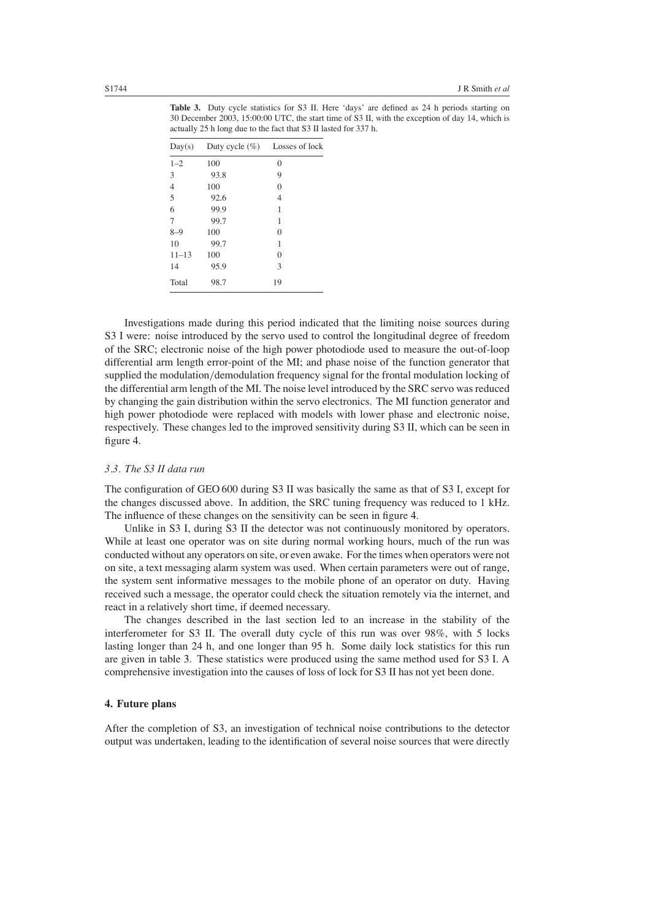<span id="page-7-0"></span>

| Day(s)    | Duty cycle $(\% )$ Losses of lock |    |
|-----------|-----------------------------------|----|
| $1 - 2$   | 100                               | 0  |
| 3         | 93.8                              | 9  |
| 4         | 100                               | 0  |
| 5         | 92.6                              | 4  |
| 6         | 99.9                              | 1  |
| 7         | 99.7                              | 1  |
| $8 - 9$   | 100                               | 0  |
| 10        | 99.7                              | 1  |
| $11 - 13$ | 100                               | 0  |
| 14        | 95.9                              | 3  |
| Total     | 98.7                              | 19 |

**Table 3.** Duty cycle statistics for S3 II. Here 'days' are defined as 24 h periods starting on 30 December 2003, 15:00:00 UTC, the start time of S3 II, with the exception of day 14, which is actually 25 h long due to the fact that S3 II lasted for 337 h.

Investigations made during this period indicated that the limiting noise sources during S3 I were: noise introduced by the servo used to control the longitudinal degree of freedom of the SRC; electronic noise of the high power photodiode used to measure the out-of-loop differential arm length error-point of the MI; and phase noise of the function generator that supplied the modulation*/*demodulation frequency signal for the frontal modulation locking of the differential arm length of the MI. The noise level introduced by the SRC servo was reduced by changing the gain distribution within the servo electronics. The MI function generator and high power photodiode were replaced with models with lower phase and electronic noise, respectively. These changes led to the improved sensitivity during S3 II, which can be seen in figure [4.](#page-5-0)

## *3.3. The S3 II data run*

The configuration of GEO 600 during S3 II was basically the same as that of S3 I, except for the changes discussed above. In addition, the SRC tuning frequency was reduced to 1 kHz. The influence of these changes on the sensitivity can be seen in figure [4.](#page-5-0)

Unlike in S3 I, during S3 II the detector was not continuously monitored by operators. While at least one operator was on site during normal working hours, much of the run was conducted without any operators on site, or even awake. For the times when operators were not on site, a text messaging alarm system was used. When certain parameters were out of range, the system sent informative messages to the mobile phone of an operator on duty. Having received such a message, the operator could check the situation remotely via the internet, and react in a relatively short time, if deemed necessary.

The changes described in the last section led to an increase in the stability of the interferometer for S3 II. The overall duty cycle of this run was over 98%, with 5 locks lasting longer than 24 h, and one longer than 95 h. Some daily lock statistics for this run are given in table [3.](#page-7-0) These statistics were produced using the same method used for S3 I. A comprehensive investigation into the causes of loss of lock for S3 II has not yet been done.

# **4. Future plans**

After the completion of S3, an investigation of technical noise contributions to the detector output was undertaken, leading to the identification of several noise sources that were directly